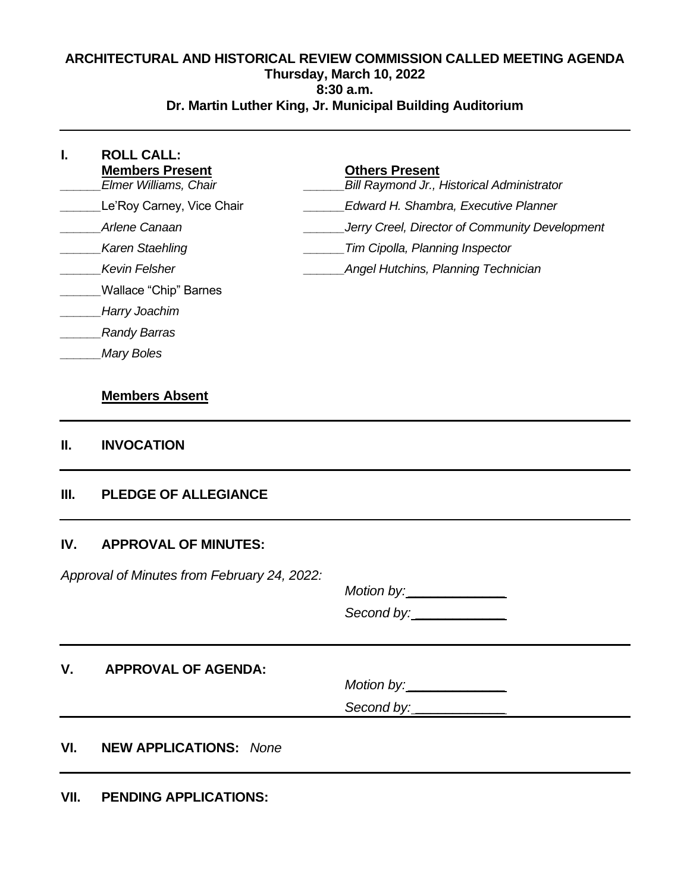# **ARCHITECTURAL AND HISTORICAL REVIEW COMMISSION CALLED MEETING AGENDA Thursday, March 10, 2022 8:30 a.m. Dr. Martin Luther King, Jr. Municipal Building Auditorium**

| L. | <b>ROLL CALL:</b><br><b>Members Present</b><br>Elmer Williams, Chair | <b>Others Present</b><br><b>Bill Raymond Jr., Historical Administrator</b> |
|----|----------------------------------------------------------------------|----------------------------------------------------------------------------|
|    | Le'Roy Carney, Vice Chair                                            | Edward H. Shambra, Executive Planner                                       |
|    | Arlene Canaan                                                        | Jerry Creel, Director of Community Development                             |
|    | <b>Karen Staehling</b>                                               | Tim Cipolla, Planning Inspector                                            |
|    | Kevin Felsher                                                        | Angel Hutchins, Planning Technician                                        |
|    | Wallace "Chip" Barnes                                                |                                                                            |
|    | Harry Joachim                                                        |                                                                            |
|    | <b>Randy Barras</b>                                                  |                                                                            |
|    | <b>Mary Boles</b>                                                    |                                                                            |

# **Members Absent**

#### **II. INVOCATION**

# **III. PLEDGE OF ALLEGIANCE**

#### **IV. APPROVAL OF MINUTES:**

Approval of Minutes from February 24, 2022:

 $Motion by:$ Second by:

**V. APPROVAL OF AGENDA:**

 $Motion by:$ 

Second by: \_\_\_\_\_\_\_\_\_\_\_\_

# **VI. NEW APPLICATIONS:** None

**VII. PENDING APPLICATIONS:**